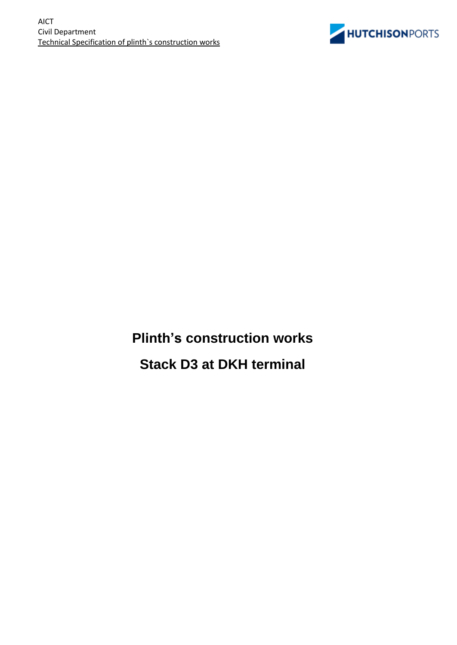

**Plinth's construction works Stack D3 at DKH terminal**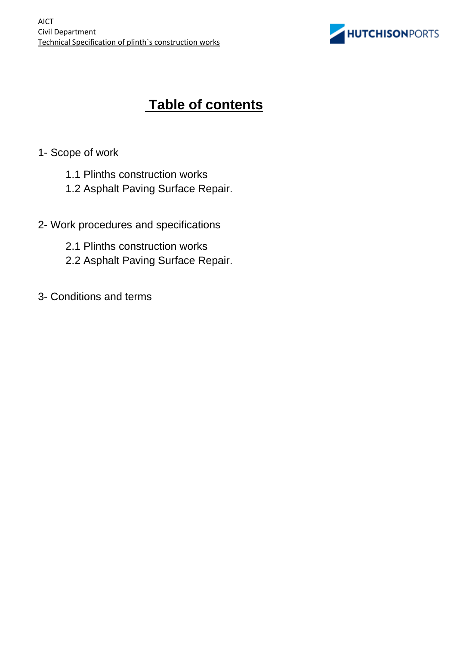

# **Table of contents**

- 1- Scope of work
	- 1.1 Plinths construction works
	- 1.2 Asphalt Paving Surface Repair.
- 2- Work procedures and specifications
	- 2.1 Plinths construction works
	- 2.2 Asphalt Paving Surface Repair.
- 3- Conditions and terms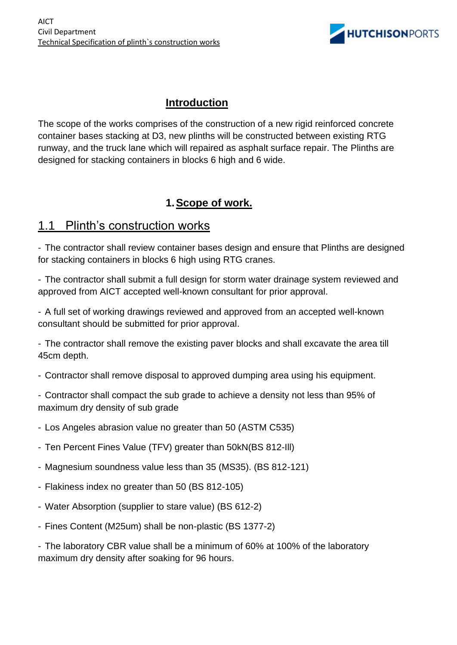

### **Introduction**

The scope of the works comprises of the construction of a new rigid reinforced concrete container bases stacking at D3, new plinths will be constructed between existing RTG runway, and the truck lane which will repaired as asphalt surface repair. The Plinths are designed for stacking containers in blocks 6 high and 6 wide.

### **1.Scope of work.**

### 1.1 Plinth's construction works

- The contractor shall review container bases design and ensure that Plinths are designed for stacking containers in blocks 6 high using RTG cranes.

- The contractor shall submit a full design for storm water drainage system reviewed and approved from AICT accepted well-known consultant for prior approval.

- A full set of working drawings reviewed and approved from an accepted well-known consultant should be submitted for prior approval.

- The contractor shall remove the existing paver blocks and shall excavate the area till 45cm depth.

- Contractor shall remove disposal to approved dumping area using his equipment.

- Contractor shall compact the sub grade to achieve a density not less than 95% of maximum dry density of sub grade

- Los Angeles abrasion value no greater than 50 (ASTM C535)
- Ten Percent Fines Value (TFV) greater than 50kN(BS 812-Ill)
- Magnesium soundness value less than 35 (MS35). (BS 812-121)
- Flakiness index no greater than 50 (BS 812-105)
- Water Absorption (supplier to stare value) (BS 612-2)
- Fines Content (M25um) shall be non-plastic (BS 1377-2)

- The laboratory CBR value shall be a minimum of 60% at 100% of the laboratory maximum dry density after soaking for 96 hours.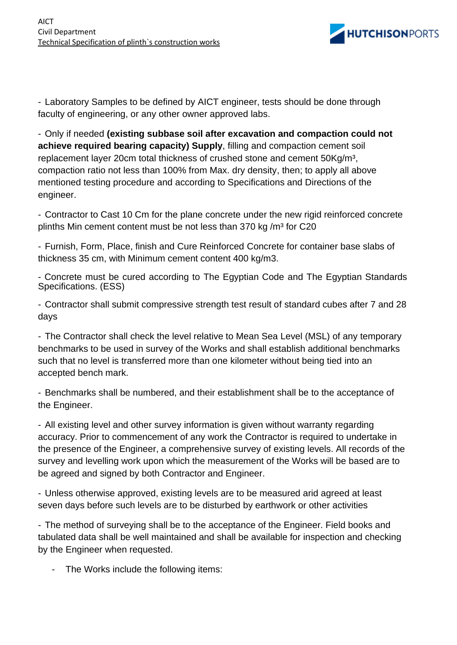

- Laboratory Samples to be defined by AICT engineer, tests should be done through faculty of engineering, or any other owner approved labs.

- Only if needed **(existing subbase soil after excavation and compaction could not achieve required bearing capacity) Supply**, filling and compaction cement soil replacement layer 20cm total thickness of crushed stone and cement 50Kg/m<sup>3</sup>, compaction ratio not less than 100% from Max. dry density, then; to apply all above mentioned testing procedure and according to Specifications and Directions of the engineer.

- Contractor to Cast 10 Cm for the plane concrete under the new rigid reinforced concrete plinths Min cement content must be not less than 370 kg  $/m<sup>3</sup>$  for C20

- Furnish, Form, Place, finish and Cure Reinforced Concrete for container base slabs of thickness 35 cm, with Minimum cement content 400 kg/m3.

- Concrete must be cured according to The Egyptian Code and The Egyptian Standards Specifications. (ESS)

- Contractor shall submit compressive strength test result of standard cubes after 7 and 28 days

- The Contractor shall check the level relative to Mean Sea Level (MSL) of any temporary benchmarks to be used in survey of the Works and shall establish additional benchmarks such that no level is transferred more than one kilometer without being tied into an accepted bench mark.

- Benchmarks shall be numbered, and their establishment shall be to the acceptance of the Engineer.

- All existing level and other survey information is given without warranty regarding accuracy. Prior to commencement of any work the Contractor is required to undertake in the presence of the Engineer, a comprehensive survey of existing levels. All records of the survey and levelling work upon which the measurement of the Works will be based are to be agreed and signed by both Contractor and Engineer.

- Unless otherwise approved, existing levels are to be measured arid agreed at least seven days before such levels are to be disturbed by earthwork or other activities

- The method of surveying shall be to the acceptance of the Engineer. Field books and tabulated data shall be well maintained and shall be available for inspection and checking by the Engineer when requested.

- The Works include the following items: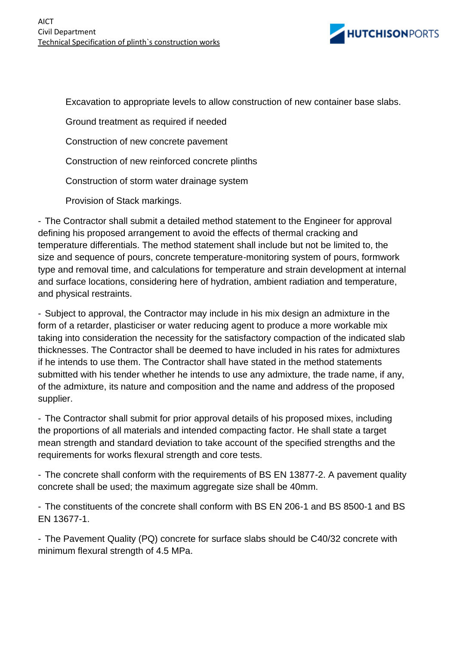

Excavation to appropriate levels to allow construction of new container base slabs.

Ground treatment as required if needed

Construction of new concrete pavement

Construction of new reinforced concrete plinths

Construction of storm water drainage system

Provision of Stack markings.

- The Contractor shall submit a detailed method statement to the Engineer for approval defining his proposed arrangement to avoid the effects of thermal cracking and temperature differentials. The method statement shall include but not be limited to, the size and sequence of pours, concrete temperature-monitoring system of pours, formwork type and removal time, and calculations for temperature and strain development at internal and surface locations, considering here of hydration, ambient radiation and temperature, and physical restraints.

- Subject to approval, the Contractor may include in his mix design an admixture in the form of a retarder, plasticiser or water reducing agent to produce a more workable mix taking into consideration the necessity for the satisfactory compaction of the indicated slab thicknesses. The Contractor shall be deemed to have included in his rates for admixtures if he intends to use them. The Contractor shall have stated in the method statements submitted with his tender whether he intends to use any admixture, the trade name, if any, of the admixture, its nature and composition and the name and address of the proposed supplier.

- The Contractor shall submit for prior approval details of his proposed mixes, including the proportions of all materials and intended compacting factor. He shall state a target mean strength and standard deviation to take account of the specified strengths and the requirements for works flexural strength and core tests.

- The concrete shall conform with the requirements of BS EN 13877-2. A pavement quality concrete shall be used; the maximum aggregate size shall be 40mm.

- The constituents of the concrete shall conform with BS EN 206-1 and BS 8500-1 and BS EN 13677-1.

- The Pavement Quality (PQ) concrete for surface slabs should be C40/32 concrete with minimum flexural strength of 4.5 MPa.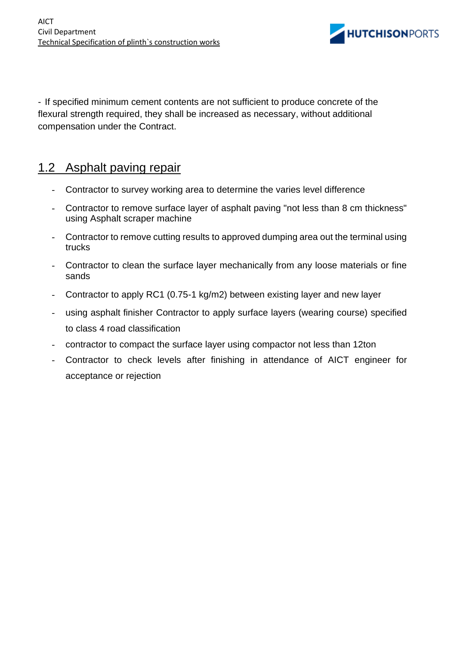

- If specified minimum cement contents are not sufficient to produce concrete of the flexural strength required, they shall be increased as necessary, without additional compensation under the Contract.

### 1.2 Asphalt paving repair

- Contractor to survey working area to determine the varies level difference
- Contractor to remove surface layer of asphalt paving "not less than 8 cm thickness" using Asphalt scraper machine
- Contractor to remove cutting results to approved dumping area out the terminal using trucks
- Contractor to clean the surface layer mechanically from any loose materials or fine sands
- Contractor to apply RC1 (0.75-1 kg/m2) between existing layer and new layer
- using asphalt finisher Contractor to apply surface layers (wearing course) specified to class 4 road classification
- contractor to compact the surface layer using compactor not less than 12ton
- Contractor to check levels after finishing in attendance of AICT engineer for acceptance or rejection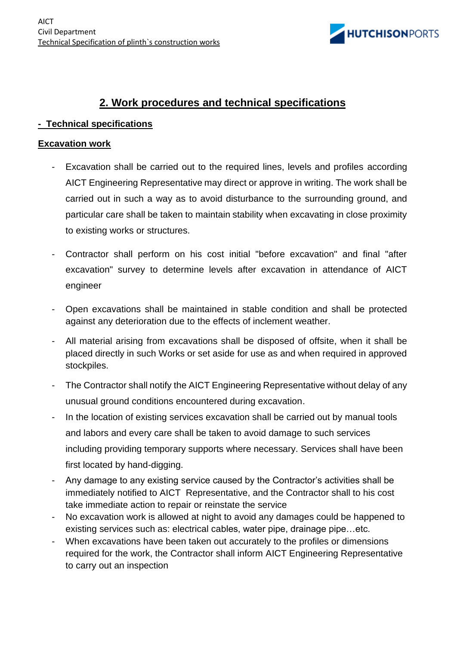

### **2. Work procedures and technical specifications**

#### **- Technical specifications**

#### **Excavation work**

- Excavation shall be carried out to the required lines, levels and profiles according AICT Engineering Representative may direct or approve in writing. The work shall be carried out in such a way as to avoid disturbance to the surrounding ground, and particular care shall be taken to maintain stability when excavating in close proximity to existing works or structures.
- Contractor shall perform on his cost initial "before excavation" and final "after excavation" survey to determine levels after excavation in attendance of AICT engineer
- Open excavations shall be maintained in stable condition and shall be protected against any deterioration due to the effects of inclement weather.
- All material arising from excavations shall be disposed of offsite, when it shall be placed directly in such Works or set aside for use as and when required in approved stockpiles.
- The Contractor shall notify the AICT Engineering Representative without delay of any unusual ground conditions encountered during excavation.
- In the location of existing services excavation shall be carried out by manual tools and labors and every care shall be taken to avoid damage to such services including providing temporary supports where necessary. Services shall have been first located by hand-digging.
- Any damage to any existing service caused by the Contractor's activities shall be immediately notified to AICT Representative, and the Contractor shall to his cost take immediate action to repair or reinstate the service
- No excavation work is allowed at night to avoid any damages could be happened to existing services such as: electrical cables, water pipe, drainage pipe…etc.
- When excavations have been taken out accurately to the profiles or dimensions required for the work, the Contractor shall inform AICT Engineering Representative to carry out an inspection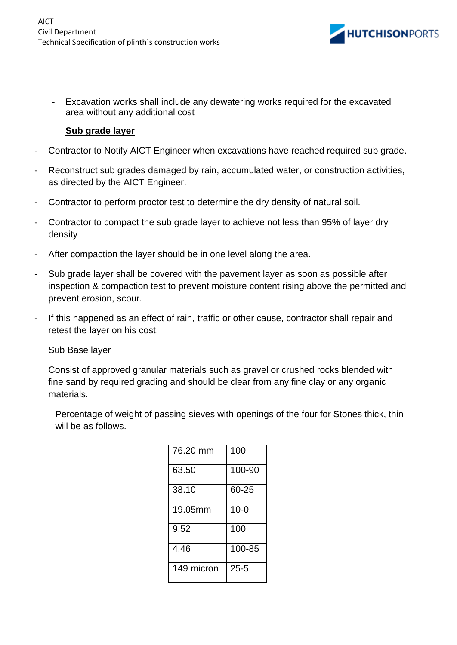

Excavation works shall include any dewatering works required for the excavated area without any additional cost

#### **Sub grade layer**

- Contractor to Notify AICT Engineer when excavations have reached required sub grade.
- Reconstruct sub grades damaged by rain, accumulated water, or construction activities, as directed by the AICT Engineer.
- Contractor to perform proctor test to determine the dry density of natural soil.
- Contractor to compact the sub grade layer to achieve not less than 95% of layer dry density
- After compaction the layer should be in one level along the area.
- Sub grade layer shall be covered with the pavement layer as soon as possible after inspection & compaction test to prevent moisture content rising above the permitted and prevent erosion, scour.
- If this happened as an effect of rain, traffic or other cause, contractor shall repair and retest the layer on his cost.

#### Sub Base layer

Consist of approved granular materials such as gravel or crushed rocks blended with fine sand by required grading and should be clear from any fine clay or any organic materials.

Percentage of weight of passing sieves with openings of the four for Stones thick, thin will be as follows.

| 76.20 mm   | 100      |
|------------|----------|
| 63.50      | 100-90   |
| 38.10      | 60-25    |
| 19.05mm    | $10 - 0$ |
| 9.52       | 100      |
| 4.46       | 100-85   |
| 149 micron | $25 - 5$ |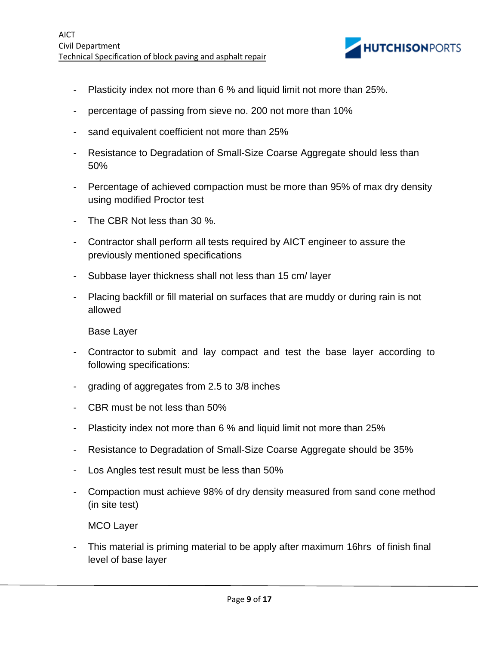

- Plasticity index not more than 6 % and liquid limit not more than 25%.
- percentage of passing from sieve no. 200 not more than 10%
- sand equivalent coefficient not more than 25%
- Resistance to Degradation of Small-Size Coarse Aggregate should less than 50%
- Percentage of achieved compaction must be more than 95% of max dry density using modified Proctor test
- The CBR Not less than 30 %.
- Contractor shall perform all tests required by AICT engineer to assure the previously mentioned specifications
- Subbase layer thickness shall not less than 15 cm/ layer
- Placing backfill or fill material on surfaces that are muddy or during rain is not allowed

Base Layer

- Contractor to submit and lay compact and test the base layer according to following specifications:
- grading of aggregates from 2.5 to 3/8 inches
- CBR must be not less than 50%
- Plasticity index not more than 6 % and liquid limit not more than 25%
- Resistance to Degradation of Small-Size Coarse Aggregate should be 35%
- Los Angles test result must be less than 50%
- Compaction must achieve 98% of dry density measured from sand cone method (in site test)

MCO Layer

This material is priming material to be apply after maximum 16hrs of finish final level of base layer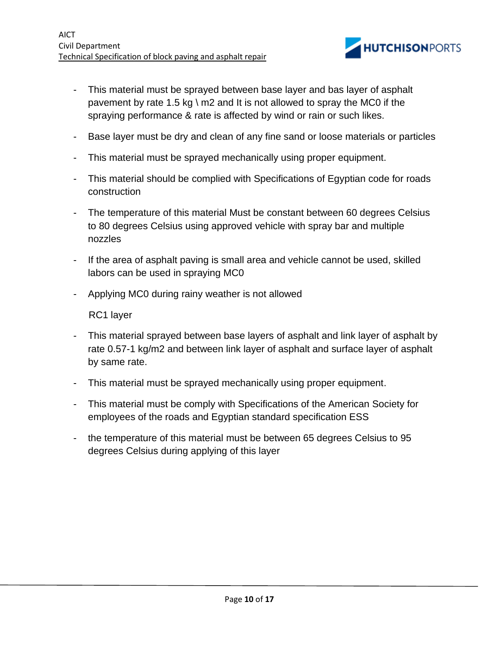

- This material must be sprayed between base layer and bas layer of asphalt pavement by rate 1.5 kg \ m2 and It is not allowed to spray the MC0 if the spraying performance & rate is affected by wind or rain or such likes.
- Base layer must be dry and clean of any fine sand or loose materials or particles
- This material must be sprayed mechanically using proper equipment.
- This material should be complied with Specifications of Egyptian code for roads construction
- The temperature of this material Must be constant between 60 degrees Celsius to 80 degrees Celsius using approved vehicle with spray bar and multiple nozzles
- If the area of asphalt paving is small area and vehicle cannot be used, skilled labors can be used in spraying MC0
- Applying MC0 during rainy weather is not allowed

RC1 layer

- This material sprayed between base layers of asphalt and link layer of asphalt by rate 0.57-1 kg/m2 and between link layer of asphalt and surface layer of asphalt by same rate.
- This material must be sprayed mechanically using proper equipment.
- This material must be comply with Specifications of the American Society for employees of the roads and Egyptian standard specification ESS
- the temperature of this material must be between 65 degrees Celsius to 95 degrees Celsius during applying of this layer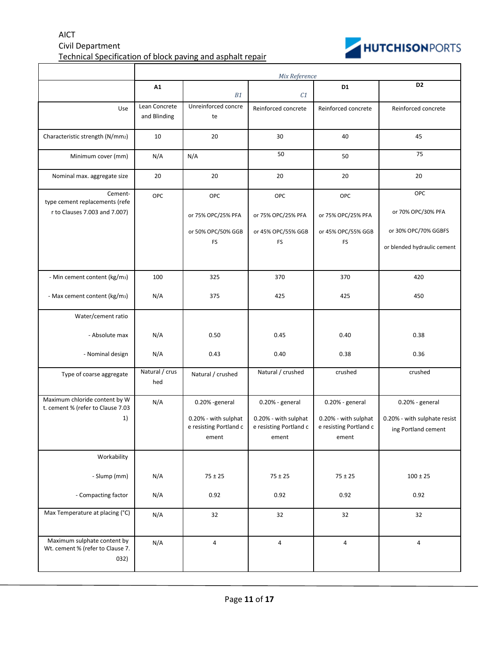#### AICT Civil Department Technical Specification of block paving and asphalt repair



|                                                                            | Mix Reference                 |                                                         |                                                         |                                                         |                                                     |  |
|----------------------------------------------------------------------------|-------------------------------|---------------------------------------------------------|---------------------------------------------------------|---------------------------------------------------------|-----------------------------------------------------|--|
|                                                                            | A1                            | B1                                                      | C1                                                      | D1                                                      | D <sub>2</sub>                                      |  |
| Use                                                                        | Lean Concrete<br>and Blinding | Unreinforced concre<br>te                               | Reinforced concrete                                     | Reinforced concrete                                     | Reinforced concrete                                 |  |
| Characteristic strength (N/mm2)                                            | 10                            | 20                                                      | 30                                                      | 40                                                      | 45                                                  |  |
| Minimum cover (mm)                                                         | N/A                           | N/A                                                     | 50                                                      | 50                                                      | 75                                                  |  |
| Nominal max. aggregate size                                                | 20                            | 20                                                      | 20                                                      | 20                                                      | 20                                                  |  |
| Cement-<br>type cement replacements (refe<br>r to Clauses 7.003 and 7.007) | OPC                           | <b>OPC</b><br>or 75% OPC/25% PFA                        | OPC<br>or 75% OPC/25% PFA                               | <b>OPC</b><br>or 75% OPC/25% PFA                        | OPC<br>or 70% OPC/30% PFA                           |  |
|                                                                            |                               | or 50% OPC/50% GGB<br><b>FS</b>                         | or 45% OPC/55% GGB<br>FS                                | or 45% OPC/55% GGB<br><b>FS</b>                         | or 30% OPC/70% GGBFS<br>or blended hydraulic cement |  |
| - Min cement content (kg/m3)                                               | 100                           | 325                                                     | 370                                                     | 370                                                     | 420                                                 |  |
| - Max cement content (kg/m <sub>3</sub> )                                  | N/A                           | 375                                                     | 425                                                     |                                                         | 450                                                 |  |
| Water/cement ratio                                                         |                               |                                                         |                                                         |                                                         |                                                     |  |
| - Absolute max                                                             | N/A                           | 0.50                                                    | 0.45                                                    | 0.40                                                    | 0.38                                                |  |
| - Nominal design                                                           | N/A                           | 0.43                                                    | 0.40                                                    | 0.38                                                    | 0.36                                                |  |
| Type of coarse aggregate                                                   | Natural / crus<br>hed         | Natural / crushed                                       | Natural / crushed                                       | crushed                                                 | crushed                                             |  |
| Maximum chloride content by W<br>t. cement % (refer to Clause 7.03         | N/A                           | 0.20% -general                                          | 0.20% - general                                         | 0.20% - general                                         | 0.20% - general                                     |  |
| 1)                                                                         |                               | 0.20% - with sulphat<br>e resisting Portland c<br>ement | 0.20% - with sulphat<br>e resisting Portland c<br>ement | 0.20% - with sulphat<br>e resisting Portland c<br>ement | 0.20% - with sulphate resist<br>ing Portland cement |  |
| Workability                                                                |                               |                                                         |                                                         |                                                         |                                                     |  |
| - Slump (mm)                                                               | N/A                           | $75 \pm 25$                                             | $75 \pm 25$                                             | $75 \pm 25$                                             | $100 \pm 25$                                        |  |
| - Compacting factor                                                        | N/A                           | 0.92                                                    | 0.92                                                    | 0.92                                                    | 0.92                                                |  |
| Max Temperature at placing (°C)                                            | N/A                           | 32                                                      | 32                                                      | 32                                                      | 32                                                  |  |
| Maximum sulphate content by<br>Wt. cement % (refer to Clause 7.<br>032)    | N/A                           | $\sqrt{4}$                                              | 4                                                       | 4                                                       | $\overline{\mathbf{4}}$                             |  |

g/m3 (refer to Clause 7.033)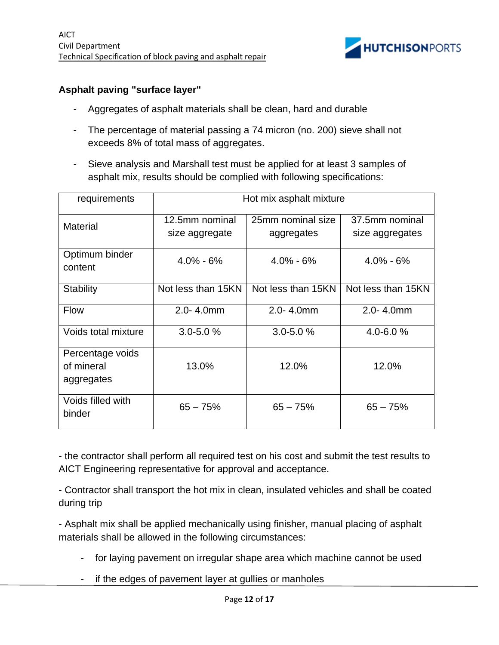

#### **Asphalt paving "surface layer"**

- Aggregates of asphalt materials shall be clean, hard and durable
- The percentage of material passing a 74 micron (no. 200) sieve shall not exceeds 8% of total mass of aggregates.
- Sieve analysis and Marshall test must be applied for at least 3 samples of asphalt mix, results should be complied with following specifications:

| requirements                                 | Hot mix asphalt mixture          |                                 |                                   |  |  |  |
|----------------------------------------------|----------------------------------|---------------------------------|-----------------------------------|--|--|--|
| <b>Material</b>                              | 12.5mm nominal<br>size aggregate | 25mm nominal size<br>aggregates | 37.5mm nominal<br>size aggregates |  |  |  |
| Optimum binder<br>content                    | $4.0\% - 6\%$                    | $4.0\% - 6\%$                   | $4.0\% - 6\%$                     |  |  |  |
| <b>Stability</b>                             | Not less than 15KN               | Not less than 15KN              | Not less than 15KN                |  |  |  |
| <b>Flow</b>                                  | $2.0 - 4.0$ mm                   | $2.0 - 4.0$ mm                  | $2.0 - 4.0$ mm                    |  |  |  |
| Voids total mixture                          | $3.0 - 5.0 %$                    | $3.0 - 5.0 %$                   | $4.0 - 6.0 %$                     |  |  |  |
| Percentage voids<br>of mineral<br>aggregates | 13.0%                            | 12.0%                           | 12.0%                             |  |  |  |
| Voids filled with<br>binder                  | $65 - 75%$                       | $65 - 75%$                      | $65 - 75%$                        |  |  |  |

- the contractor shall perform all required test on his cost and submit the test results to AICT Engineering representative for approval and acceptance.

- Contractor shall transport the hot mix in clean, insulated vehicles and shall be coated during trip

- Asphalt mix shall be applied mechanically using finisher, manual placing of asphalt materials shall be allowed in the following circumstances:

- for laying pavement on irregular shape area which machine cannot be used
- if the edges of pavement layer at gullies or manholes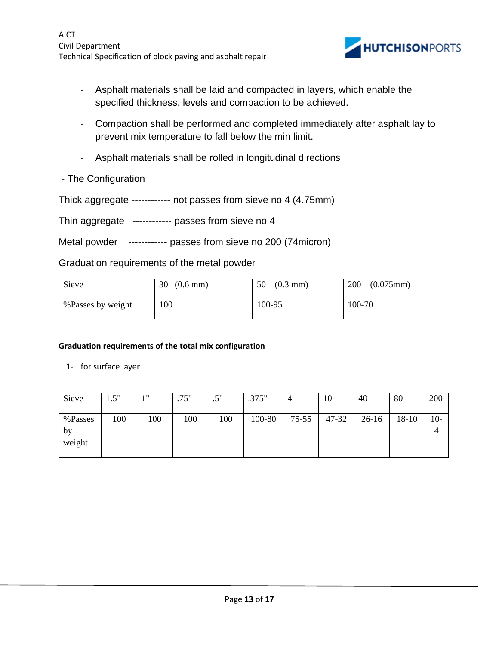

- Asphalt materials shall be laid and compacted in layers, which enable the specified thickness, levels and compaction to be achieved.
- Compaction shall be performed and completed immediately after asphalt lay to prevent mix temperature to fall below the min limit.
- Asphalt materials shall be rolled in longitudinal directions
- The Configuration

Thick aggregate ------------ not passes from sieve no 4 (4.75mm)

Thin aggregate ------------ passes from sieve no 4

Metal powder ------------ passes from sieve no 200 (74 micron)

Graduation requirements of the metal powder

| Sieve             | 30                 | $(0.3$ mm $)$ | 200       |
|-------------------|--------------------|---------------|-----------|
|                   | $(0.6 \text{ mm})$ | 50            | (0.075mm) |
| %Passes by weight | 100                | 100-95        | 100-70    |

#### **Graduation requirements of the total mix configuration**

1- for surface layer

| Sieve                   | 1.5" | 111 | .75" | 5"<br>ت | .375"  | 4         | 10    | 40      | 80    | 200   |
|-------------------------|------|-----|------|---------|--------|-----------|-------|---------|-------|-------|
| %Passes<br>by<br>weight | 100  | 100 | 100  | 100     | 100-80 | $75 - 55$ | 47-32 | $26-16$ | 18-10 | $10-$ |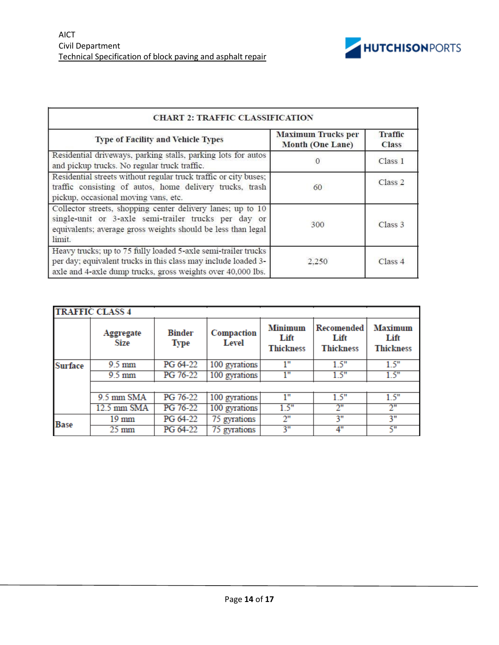

| <b>CHART 2: TRAFFIC CLASSIFICATION</b>                                                                                                                                                          |                                                      |                                |  |  |  |
|-------------------------------------------------------------------------------------------------------------------------------------------------------------------------------------------------|------------------------------------------------------|--------------------------------|--|--|--|
| <b>Type of Facility and Vehicle Types</b>                                                                                                                                                       | <b>Maximum Trucks per</b><br><b>Month (One Lane)</b> | <b>Traffic</b><br><b>Class</b> |  |  |  |
| Residential driveways, parking stalls, parking lots for autos<br>and pickup trucks. No regular truck traffic.                                                                                   | 0                                                    | Class <sub>1</sub>             |  |  |  |
| Residential streets without regular truck traffic or city buses;<br>traffic consisting of autos, home delivery trucks, trash<br>pickup, occasional moving vans, etc.                            | 60                                                   | Class <sub>2</sub>             |  |  |  |
| Collector streets, shopping center delivery lanes; up to 10<br>single-unit or 3-axle semi-trailer trucks per day or<br>equivalents; average gross weights should be less than legal<br>limit.   | 300                                                  | Class <sub>3</sub>             |  |  |  |
| Heavy trucks; up to 75 fully loaded 5-axle semi-trailer trucks<br>per day; equivalent trucks in this class may include loaded 3-<br>axle and 4-axle dump trucks, gross weights over 40,000 lbs. | 2.250                                                | Class 4                        |  |  |  |

| <b>TRAFFIC CLASS 4</b> |                   |                              |                     |                                            |                                        |                                            |  |  |  |
|------------------------|-------------------|------------------------------|---------------------|--------------------------------------------|----------------------------------------|--------------------------------------------|--|--|--|
|                        | Aggregate<br>Size | <b>Binder</b><br><b>Type</b> | Compaction<br>Level | <b>Minimum</b><br>Lift<br><b>Thickness</b> | Recomended<br>Lift<br><b>Thickness</b> | <b>Maximum</b><br>Lift<br><b>Thickness</b> |  |  |  |
| <b>Surface</b>         | $9.5 \text{ mm}$  | PG 64-22                     | 100 gyrations       | 1"                                         | 1.5"                                   | 1.5"                                       |  |  |  |
|                        | $9.5 \text{ mm}$  | PG 76-22                     | 100 gyrations       | 1"                                         | 1.5"                                   | 1.5"                                       |  |  |  |
|                        |                   |                              |                     |                                            |                                        |                                            |  |  |  |
|                        | 9.5 mm SMA        | PG 76-22                     | 100 gyrations       | 1"                                         | 1.5"                                   | 1.5"                                       |  |  |  |
|                        | 12.5 mm SMA       | PG 76-22                     | 100 gyrations       | 1.5"                                       | 2"                                     | 2"                                         |  |  |  |
| <b>Base</b>            | $19 \text{ mm}$   | PG 64-22                     | 75 gyrations        | 2"                                         | 3"                                     | 3"                                         |  |  |  |
|                        | $25 \text{ mm}$   | PG 64-22                     | 75 gyrations        | 3"                                         | 4"                                     | 5"                                         |  |  |  |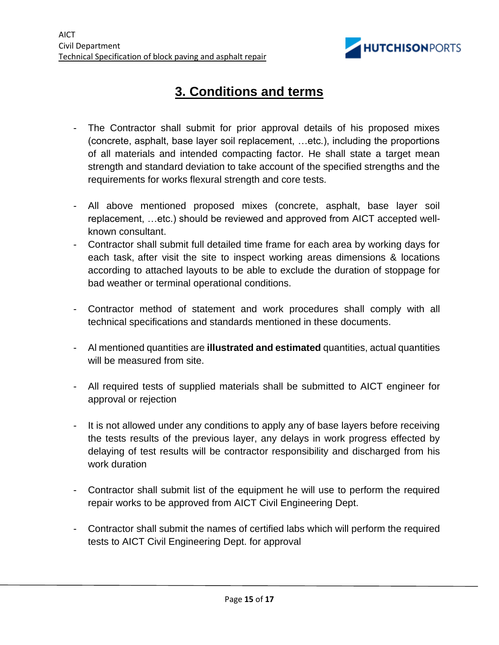

## **3. Conditions and terms**

- The Contractor shall submit for prior approval details of his proposed mixes (concrete, asphalt, base layer soil replacement, …etc.), including the proportions of all materials and intended compacting factor. He shall state a target mean strength and standard deviation to take account of the specified strengths and the requirements for works flexural strength and core tests.
- All above mentioned proposed mixes (concrete, asphalt, base layer soil replacement, …etc.) should be reviewed and approved from AICT accepted wellknown consultant.
- Contractor shall submit full detailed time frame for each area by working days for each task, after visit the site to inspect working areas dimensions & locations according to attached layouts to be able to exclude the duration of stoppage for bad weather or terminal operational conditions.
- Contractor method of statement and work procedures shall comply with all technical specifications and standards mentioned in these documents.
- Al mentioned quantities are **illustrated and estimated** quantities, actual quantities will be measured from site.
- All required tests of supplied materials shall be submitted to AICT engineer for approval or rejection
- It is not allowed under any conditions to apply any of base layers before receiving the tests results of the previous layer, any delays in work progress effected by delaying of test results will be contractor responsibility and discharged from his work duration
- Contractor shall submit list of the equipment he will use to perform the required repair works to be approved from AICT Civil Engineering Dept.
- Contractor shall submit the names of certified labs which will perform the required tests to AICT Civil Engineering Dept. for approval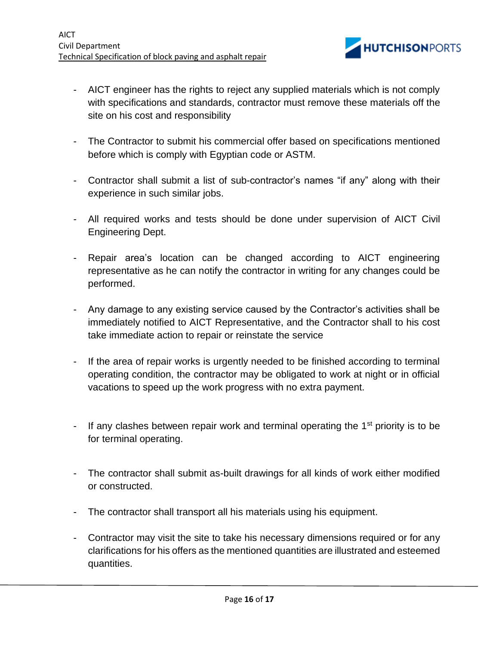

- AICT engineer has the rights to reject any supplied materials which is not comply with specifications and standards, contractor must remove these materials off the site on his cost and responsibility
- The Contractor to submit his commercial offer based on specifications mentioned before which is comply with Egyptian code or ASTM.
- Contractor shall submit a list of sub-contractor's names "if any" along with their experience in such similar jobs.
- All required works and tests should be done under supervision of AICT Civil Engineering Dept.
- Repair area's location can be changed according to AICT engineering representative as he can notify the contractor in writing for any changes could be performed.
- Any damage to any existing service caused by the Contractor's activities shall be immediately notified to AICT Representative, and the Contractor shall to his cost take immediate action to repair or reinstate the service
- If the area of repair works is urgently needed to be finished according to terminal operating condition, the contractor may be obligated to work at night or in official vacations to speed up the work progress with no extra payment.
- If any clashes between repair work and terminal operating the  $1<sup>st</sup>$  priority is to be for terminal operating.
- The contractor shall submit as-built drawings for all kinds of work either modified or constructed.
- The contractor shall transport all his materials using his equipment.
- Contractor may visit the site to take his necessary dimensions required or for any clarifications for his offers as the mentioned quantities are illustrated and esteemed quantities.